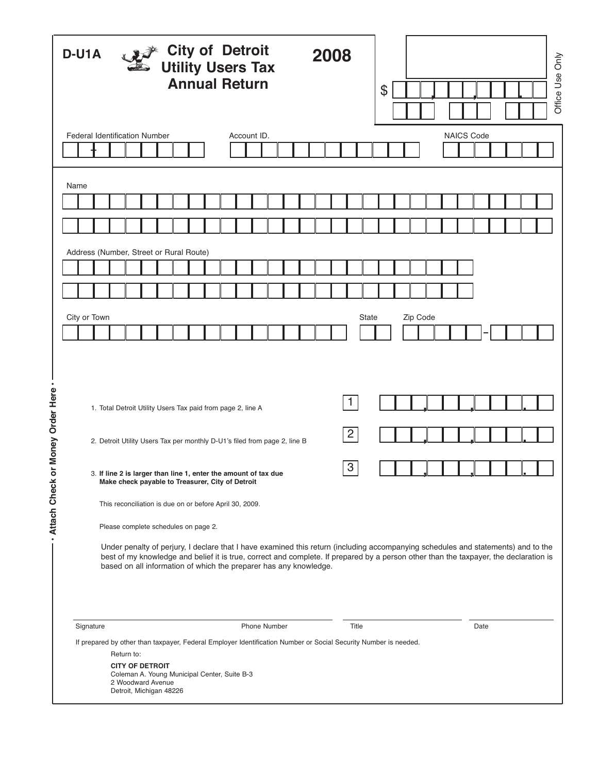| گرو≸ City of Detroit<br>گھا Utility Users Tax<br>D-U1A<br><b>Annual Return</b> |                                                                                                                                                                                                                                                                                                                                                                                                                                                                                                                                                                                                                                                                                                                       |                                                                                                                                      |  |  |  |  |  |  |                     |  | 2008 |  |  |                                              |       | \$    |  |                   |  |  |      |  | Office Use Only |  |
|--------------------------------------------------------------------------------|-----------------------------------------------------------------------------------------------------------------------------------------------------------------------------------------------------------------------------------------------------------------------------------------------------------------------------------------------------------------------------------------------------------------------------------------------------------------------------------------------------------------------------------------------------------------------------------------------------------------------------------------------------------------------------------------------------------------------|--------------------------------------------------------------------------------------------------------------------------------------|--|--|--|--|--|--|---------------------|--|------|--|--|----------------------------------------------|-------|-------|--|-------------------|--|--|------|--|-----------------|--|
|                                                                                |                                                                                                                                                                                                                                                                                                                                                                                                                                                                                                                                                                                                                                                                                                                       |                                                                                                                                      |  |  |  |  |  |  |                     |  |      |  |  |                                              |       |       |  |                   |  |  |      |  |                 |  |
|                                                                                | <b>Federal Identification Number</b><br>Account ID.                                                                                                                                                                                                                                                                                                                                                                                                                                                                                                                                                                                                                                                                   |                                                                                                                                      |  |  |  |  |  |  |                     |  |      |  |  |                                              |       |       |  | <b>NAICS Code</b> |  |  |      |  |                 |  |
|                                                                                |                                                                                                                                                                                                                                                                                                                                                                                                                                                                                                                                                                                                                                                                                                                       |                                                                                                                                      |  |  |  |  |  |  |                     |  |      |  |  |                                              |       |       |  |                   |  |  |      |  |                 |  |
|                                                                                |                                                                                                                                                                                                                                                                                                                                                                                                                                                                                                                                                                                                                                                                                                                       |                                                                                                                                      |  |  |  |  |  |  |                     |  |      |  |  |                                              |       |       |  |                   |  |  |      |  |                 |  |
|                                                                                | Name                                                                                                                                                                                                                                                                                                                                                                                                                                                                                                                                                                                                                                                                                                                  |                                                                                                                                      |  |  |  |  |  |  |                     |  |      |  |  |                                              |       |       |  |                   |  |  |      |  |                 |  |
|                                                                                |                                                                                                                                                                                                                                                                                                                                                                                                                                                                                                                                                                                                                                                                                                                       |                                                                                                                                      |  |  |  |  |  |  |                     |  |      |  |  |                                              |       |       |  |                   |  |  |      |  |                 |  |
|                                                                                |                                                                                                                                                                                                                                                                                                                                                                                                                                                                                                                                                                                                                                                                                                                       |                                                                                                                                      |  |  |  |  |  |  |                     |  |      |  |  |                                              |       |       |  |                   |  |  |      |  |                 |  |
|                                                                                | Address (Number, Street or Rural Route)                                                                                                                                                                                                                                                                                                                                                                                                                                                                                                                                                                                                                                                                               |                                                                                                                                      |  |  |  |  |  |  |                     |  |      |  |  |                                              |       |       |  |                   |  |  |      |  |                 |  |
|                                                                                |                                                                                                                                                                                                                                                                                                                                                                                                                                                                                                                                                                                                                                                                                                                       |                                                                                                                                      |  |  |  |  |  |  |                     |  |      |  |  |                                              |       |       |  |                   |  |  |      |  |                 |  |
|                                                                                |                                                                                                                                                                                                                                                                                                                                                                                                                                                                                                                                                                                                                                                                                                                       |                                                                                                                                      |  |  |  |  |  |  |                     |  |      |  |  |                                              |       |       |  |                   |  |  |      |  |                 |  |
|                                                                                | City or Town                                                                                                                                                                                                                                                                                                                                                                                                                                                                                                                                                                                                                                                                                                          |                                                                                                                                      |  |  |  |  |  |  |                     |  |      |  |  |                                              |       | State |  | Zip Code          |  |  |      |  |                 |  |
|                                                                                |                                                                                                                                                                                                                                                                                                                                                                                                                                                                                                                                                                                                                                                                                                                       |                                                                                                                                      |  |  |  |  |  |  |                     |  |      |  |  |                                              |       |       |  |                   |  |  |      |  |                 |  |
| $\bullet$<br>- Attach Check or Money Order Here                                | 1. Total Detroit Utility Users Tax paid from page 2, line A<br>2. Detroit Utility Users Tax per monthly D-U1's filed from page 2, line B<br>3. If line 2 is larger than line 1, enter the amount of tax due<br>Make check payable to Treasurer, City of Detroit<br>This reconciliation is due on or before April 30, 2009.<br>Please complete schedules on page 2.<br>Under penalty of perjury, I declare that I have examined this return (including accompanying schedules and statements) and to the<br>best of my knowledge and belief it is true, correct and complete. If prepared by a person other than the taxpayer, the declaration is<br>based on all information of which the preparer has any knowledge. |                                                                                                                                      |  |  |  |  |  |  |                     |  |      |  |  | $\mathbf{1}$<br>$\overline{2}$<br>$\sqrt{3}$ |       |       |  |                   |  |  |      |  |                 |  |
|                                                                                | Signature                                                                                                                                                                                                                                                                                                                                                                                                                                                                                                                                                                                                                                                                                                             |                                                                                                                                      |  |  |  |  |  |  | <b>Phone Number</b> |  |      |  |  |                                              | Title |       |  |                   |  |  | Date |  |                 |  |
|                                                                                | If prepared by other than taxpayer, Federal Employer Identification Number or Social Security Number is needed.                                                                                                                                                                                                                                                                                                                                                                                                                                                                                                                                                                                                       | Return to:<br><b>CITY OF DETROIT</b><br>Coleman A. Young Municipal Center, Suite B-3<br>2 Woodward Avenue<br>Detroit, Michigan 48226 |  |  |  |  |  |  |                     |  |      |  |  |                                              |       |       |  |                   |  |  |      |  |                 |  |